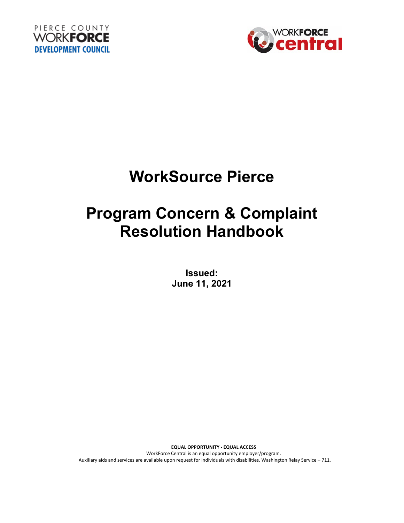



# **WorkSource Pierce**

# **Program Concern & Complaint Resolution Handbook**

**Issued: June 11, 2021**

**EQUAL OPPORTUNITY - EQUAL ACCESS** WorkForce Central is an equal opportunity employer/program. Auxiliary aids and services are available upon request for individuals with disabilities. Washington Relay Service – 711.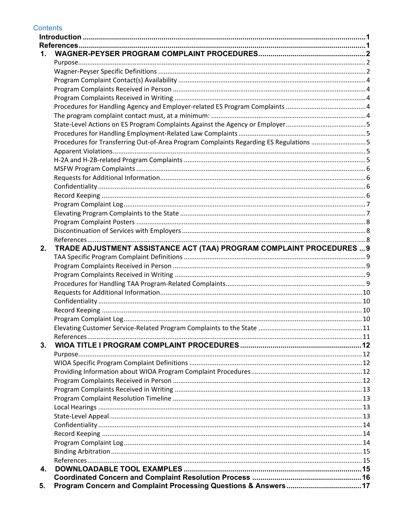| 1.<br>2. | Procedures for Transferring Out-of-Area Program Complaints Regarding ES Regulations 5 |
|----------|---------------------------------------------------------------------------------------|
|          |                                                                                       |
|          |                                                                                       |
|          |                                                                                       |
|          |                                                                                       |
|          |                                                                                       |
|          |                                                                                       |
|          |                                                                                       |
|          |                                                                                       |
|          |                                                                                       |
|          |                                                                                       |
|          |                                                                                       |
|          |                                                                                       |
|          |                                                                                       |
|          |                                                                                       |
|          |                                                                                       |
|          |                                                                                       |
|          |                                                                                       |
|          |                                                                                       |
|          |                                                                                       |
|          |                                                                                       |
|          |                                                                                       |
|          |                                                                                       |
|          |                                                                                       |
|          |                                                                                       |
|          | TRADE ADJUSTMENT ASSISTANCE ACT (TAA) PROGRAM COMPLAINT PROCEDURES  9                 |
|          |                                                                                       |
|          |                                                                                       |
|          |                                                                                       |
|          |                                                                                       |
|          |                                                                                       |
|          |                                                                                       |
|          |                                                                                       |
|          |                                                                                       |
|          | Program Complaint Log                                                                 |
|          |                                                                                       |
|          |                                                                                       |
| 3.       |                                                                                       |
|          |                                                                                       |
|          |                                                                                       |
|          |                                                                                       |
|          |                                                                                       |
|          |                                                                                       |
|          |                                                                                       |
|          |                                                                                       |
|          |                                                                                       |
|          |                                                                                       |
|          |                                                                                       |
|          |                                                                                       |
|          |                                                                                       |
|          |                                                                                       |
| 4.       |                                                                                       |
|          |                                                                                       |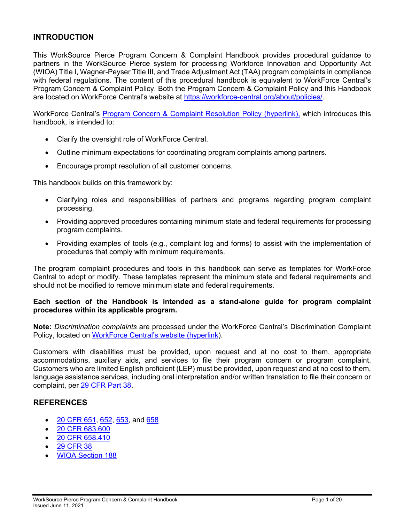# <span id="page-2-0"></span>**INTRODUCTION**

This WorkSource Pierce Program Concern & Complaint Handbook provides procedural guidance to partners in the WorkSource Pierce system for processing Workforce Innovation and Opportunity Act (WIOA) Title I, Wagner-Peyser Title III, and Trade Adjustment Act (TAA) program complaints in compliance with federal regulations. The content of this procedural handbook is equivalent to WorkForce Central's Program Concern & Complaint Policy. Both the Program Concern & Complaint Policy and this Handbook are located on WorkForce Central's website at [https://workforce-central.org/about/policies/.](https://workforce-central.org/about/policies/)

WorkForce Central's [Program Concern](https://workforce-central.org/about/policies/) & Complaint Resolution Policy (hyperlink), which introduces this handbook, is intended to:

- Clarify the oversight role of WorkForce Central.
- Outline minimum expectations for coordinating program complaints among partners.
- Encourage prompt resolution of all customer concerns.

This handbook builds on this framework by:

- Clarifying roles and responsibilities of partners and programs regarding program complaint processing.
- Providing approved procedures containing minimum state and federal requirements for processing program complaints.
- Providing examples of tools (e.g., complaint log and forms) to assist with the implementation of procedures that comply with minimum requirements.

The program complaint procedures and tools in this handbook can serve as templates for WorkForce Central to adopt or modify. These templates represent the minimum state and federal requirements and should not be modified to remove minimum state and federal requirements.

#### **Each section of the Handbook is intended as a stand-alone guide for program complaint procedures within its applicable program.**

**Note:** *Discrimination complaints* are processed under the WorkForce Central's Discrimination Complaint Policy, located on [WorkForce Central's website](https://workforce-central.org/about/policies/) (hyperlink).

Customers with disabilities must be provided, upon request and at no cost to them, appropriate accommodations, auxiliary aids, and services to file their program concern or program complaint. Customers who are limited English proficient (LEP) must be provided, upon request and at no cost to them, language assistance services, including oral interpretation and/or written translation to file their concern or complaint, per [29 CFR Part 38.](https://www.ecfr.gov/cgi-bin/retrieveECFR?gp=&SID=f93578defc0df53d553a30c5b65b1edd&mc=true&r=PART&n=pt29.1.38#se29.1.38_19)

# <span id="page-2-1"></span>**REFERENCES**

- [20 CFR 651,](https://www.govinfo.gov/content/pkg/CFR-2018-title20-vol3/pdf/CFR-2018-title20-vol3-sec651-10.pdf) [652,](https://www.ecfr.gov/cgi-bin/text-idx?node=pt20.3.652&rgn=div5) [653,](https://www.govinfo.gov/app/details/CFR-2012-title20-vol3/CFR-2012-title20-vol3-part653/summary) and [658](https://www.govinfo.gov/content/pkg/CFR-2017-title20-vol4/pdf/CFR-2017-title20-vol4-part658.pdf)
- [20 CFR 683.600](https://www.govinfo.gov/content/pkg/CFR-2018-title20-vol4/pdf/CFR-2018-title20-vol4-sec683-600.pdf)
- [20 CFR 658.410](https://www.govinfo.gov/content/pkg/CFR-2018-title20-vol4/pdf/CFR-2018-title20-vol4-sec658-410.pdf)
- [29 CFR 38](https://www.govinfo.gov/content/pkg/CFR-2016-title29-vol1/pdf/CFR-2016-title29-vol1-part38.pdf)
- [WIOA Section 188](https://www.dol.gov/oasam/programs/crc/sec188.htm)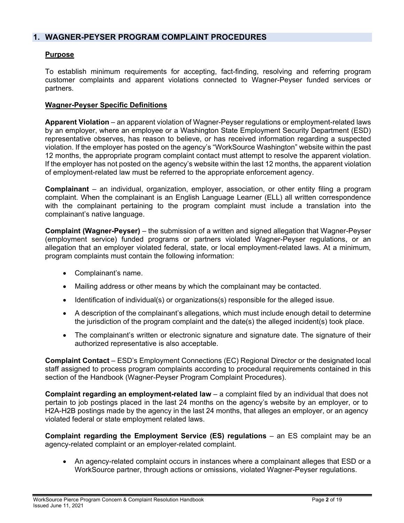# <span id="page-3-0"></span>**1. WAGNER-PEYSER PROGRAM COMPLAINT PROCEDURES**

# <span id="page-3-1"></span>**Purpose**

To establish minimum requirements for accepting, fact-finding, resolving and referring program customer complaints and apparent violations connected to Wagner-Peyser funded services or partners.

# <span id="page-3-2"></span>**Wagner-Peyser Specific Definitions**

**Apparent Violation** – an apparent violation of Wagner-Peyser regulations or employment-related laws by an employer, where an employee or a Washington State Employment Security Department (ESD) representative observes, has reason to believe, or has received information regarding a suspected violation. If the employer has posted on the agency's "WorkSource Washington" website within the past 12 months, the appropriate program complaint contact must attempt to resolve the apparent violation. If the employer has not posted on the agency's website within the last 12 months, the apparent violation of employment-related law must be referred to the appropriate enforcement agency.

**Complainant** – an individual, organization, employer, association, or other entity filing a program complaint. When the complainant is an English Language Learner (ELL) all written correspondence with the complainant pertaining to the program complaint must include a translation into the complainant's native language.

**Complaint (Wagner-Peyser)** – the submission of a written and signed allegation that Wagner-Peyser (employment service) funded programs or partners violated Wagner-Peyser regulations, or an allegation that an employer violated federal, state, or local employment-related laws. At a minimum, program complaints must contain the following information:

- Complainant's name.
- Mailing address or other means by which the complainant may be contacted.
- Identification of individual(s) or organizations(s) responsible for the alleged issue.
- A description of the complainant's allegations, which must include enough detail to determine the jurisdiction of the program complaint and the date(s) the alleged incident(s) took place.
- The complainant's written or electronic signature and signature date. The signature of their authorized representative is also acceptable.

**Complaint Contact** – ESD's Employment Connections (EC) Regional Director or the designated local staff assigned to process program complaints according to procedural requirements contained in this section of the Handbook (Wagner-Peyser Program Complaint Procedures).

**Complaint regarding an employment-related law** – a complaint filed by an individual that does not pertain to job postings placed in the last 24 months on the agency's website by an employer, or to H2A-H2B postings made by the agency in the last 24 months, that alleges an employer, or an agency violated federal or state employment related laws.

**Complaint regarding the Employment Service (ES) regulations** – an ES complaint may be an agency-related complaint or an employer-related complaint.

• An agency-related complaint occurs in instances where a complainant alleges that ESD or a WorkSource partner, through actions or omissions, violated Wagner-Peyser regulations.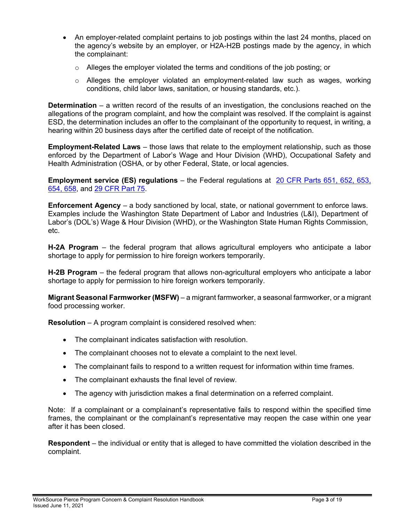- An employer-related complaint pertains to job postings within the last 24 months, placed on the agency's website by an employer, or H2A-H2B postings made by the agency, in which the complainant:
	- $\circ$  Alleges the employer violated the terms and conditions of the job posting; or
	- $\circ$  Alleges the employer violated an employment-related law such as wages, working conditions, child labor laws, sanitation, or housing standards, etc.).

**Determination** – a written record of the results of an investigation, the conclusions reached on the allegations of the program complaint, and how the complaint was resolved. If the complaint is against ESD, the determination includes an offer to the complainant of the opportunity to request, in writing, a hearing within 20 business days after the certified date of receipt of the notification.

**Employment-Related Laws** – those laws that relate to the employment relationship, such as those enforced by the Department of Labor's Wage and Hour Division (WHD), Occupational Safety and Health Administration (OSHA, or by other Federal, State, or local agencies.

**Employment service (ES) regulations** – the Federal regulations at 20 CFR Parts [651, 652, 653,](https://www.govinfo.gov/content/pkg/FR-2016-08-19/pdf/2016-15975.pdf)  [654, 658,](https://www.govinfo.gov/content/pkg/FR-2016-08-19/pdf/2016-15975.pdf) and [29 CFR Part 75.](https://www.ecfr.gov/cgi-bin/text-idx?SID=9410bdbaa38ed611c709f0e4144924d9&mc=true&tpl=/ecfrbrowse/Title29/29cfr75_main_02.tpl)

**Enforcement Agency** – a body sanctioned by local, state, or national government to enforce laws. Examples include the Washington State Department of Labor and Industries (L&I), Department of Labor's (DOL's) Wage & Hour Division (WHD), or the Washington State Human Rights Commission, etc.

**H-2A Program** – the federal program that allows agricultural employers who anticipate a labor shortage to apply for permission to hire foreign workers temporarily.

**H-2B Program** – the federal program that allows non-agricultural employers who anticipate a labor shortage to apply for permission to hire foreign workers temporarily.

**Migrant Seasonal Farmworker (MSFW)** – a migrant farmworker, a seasonal farmworker, or a migrant food processing worker.

**Resolution** – A program complaint is considered resolved when:

- The complainant indicates satisfaction with resolution.
- The complainant chooses not to elevate a complaint to the next level.
- The complainant fails to respond to a written request for information within time frames.
- The complainant exhausts the final level of review.
- The agency with jurisdiction makes a final determination on a referred complaint.

Note: If a complainant or a complainant's representative fails to respond within the specified time frames, the complainant or the complainant's representative may reopen the case within one year after it has been closed.

**Respondent** – the individual or entity that is alleged to have committed the violation described in the complaint.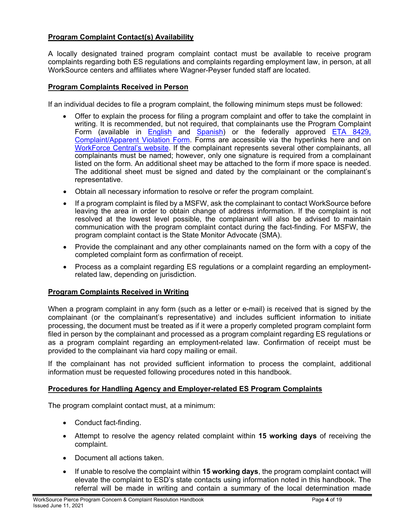# <span id="page-5-0"></span>**Program Complaint Contact(s) Availability**

A locally designated trained program complaint contact must be available to receive program complaints regarding both ES regulations and complaints regarding employment law, in person, at all WorkSource centers and affiliates where Wagner-Peyser funded staff are located.

## <span id="page-5-1"></span>**Program Complaints Received in Person**

If an individual decides to file a program complaint, the following minimum steps must be followed:

- Offer to explain the process for filing a program complaint and offer to take the complaint in writing. It is recommended, but not required, that complainants use the Program Complaint Form (available in **[English](https://workforce-central.org/wp-content/uploads/2021/06/program-complaint-form-english.pdf)** and **Spanish**) or the federally approved **ETA 8429**, [Complaint/Apparent Violation Form.](https://wdr.doleta.gov/directives/attach/TEN/TEN_20-19_Attachment_III.pdf) Forms are accessible via the hyperlinks here and on [WorkForce Central's website.](https://workforce-central.org/about/policies/) If the complainant represents several other complainants, all complainants must be named; however, only one signature is required from a complainant listed on the form. An additional sheet may be attached to the form if more space is needed. The additional sheet must be signed and dated by the complainant or the complainant's representative.
- Obtain all necessary information to resolve or refer the program complaint.
- If a program complaint is filed by a MSFW, ask the complainant to contact WorkSource before leaving the area in order to obtain change of address information. If the complaint is not resolved at the lowest level possible, the complainant will also be advised to maintain communication with the program complaint contact during the fact-finding. For MSFW, the program complaint contact is the State Monitor Advocate (SMA).
- Provide the complainant and any other complainants named on the form with a copy of the completed complaint form as confirmation of receipt.
- Process as a complaint regarding ES regulations or a complaint regarding an employmentrelated law, depending on jurisdiction.

# <span id="page-5-2"></span>**Program Complaints Received in Writing**

When a program complaint in any form (such as a letter or e-mail) is received that is signed by the complainant (or the complainant's representative) and includes sufficient information to initiate processing, the document must be treated as if it were a properly completed program complaint form filed in person by the complainant and processed as a program complaint regarding ES regulations or as a program complaint regarding an employment-related law. Confirmation of receipt must be provided to the complainant via hard copy mailing or email.

If the complainant has not provided sufficient information to process the complaint, additional information must be requested following procedures noted in this handbook.

# <span id="page-5-3"></span>**Procedures for Handling Agency and Employer-related ES Program Complaints**

<span id="page-5-4"></span>The program complaint contact must, at a minimum:

- Conduct fact-finding.
- Attempt to resolve the agency related complaint within **15 working days** of receiving the complaint.
- Document all actions taken.
- If unable to resolve the complaint within **15 working days**, the program complaint contact will elevate the complaint to ESD's state contacts using information noted in this handbook. The referral will be made in writing and contain a summary of the local determination made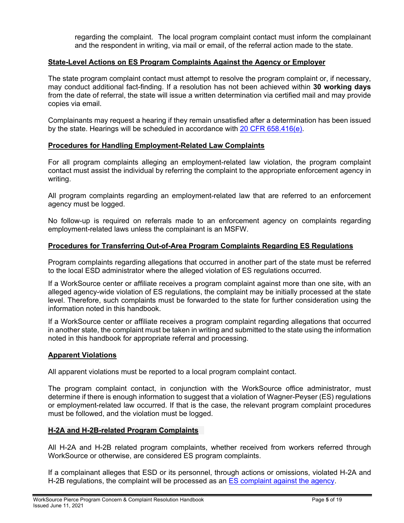regarding the complaint. The local program complaint contact must inform the complainant and the respondent in writing, via mail or email, of the referral action made to the state.

# <span id="page-6-0"></span>**State-Level Actions on ES Program Complaints Against the Agency or Employer**

The state program complaint contact must attempt to resolve the program complaint or, if necessary, may conduct additional fact-finding. If a resolution has not been achieved within **30 working days** from the date of referral, the state will issue a written determination via certified mail and may provide copies via email.

Complainants may request a hearing if they remain unsatisfied after a determination has been issued by the state. Hearings will be scheduled in accordance with [20 CFR 658.416\(e\).](https://www.gpo.gov/fdsys/pkg/CFR-2010-title20-vol3/pdf/CFR-2010-title20-vol3-sec658-416.pdf)

#### <span id="page-6-5"></span><span id="page-6-1"></span>**Procedures for Handling Employment-Related Law Complaints**

For all program complaints alleging an employment-related law violation, the program complaint contact must assist the individual by referring the complaint to the appropriate enforcement agency in writing.

All program complaints regarding an employment-related law that are referred to an enforcement agency must be logged.

No follow-up is required on referrals made to an enforcement agency on complaints regarding employment-related laws unless the complainant is an MSFW.

#### <span id="page-6-2"></span>**Procedures for Transferring Out-of-Area Program Complaints Regarding ES Regulations**

Program complaints regarding allegations that occurred in another part of the state must be referred to the local ESD administrator where the alleged violation of ES regulations occurred.

If a WorkSource center or affiliate receives a program complaint against more than one site, with an alleged agency-wide violation of ES regulations, the complaint may be initially processed at the state level. Therefore, such complaints must be forwarded to the state for further consideration using the information noted in this handbook.

If a WorkSource center or affiliate receives a program complaint regarding allegations that occurred in another state, the complaint must be taken in writing and submitted to the state using the information noted in this handbook for appropriate referral and processing.

#### <span id="page-6-3"></span>**Apparent Violations**

All apparent violations must be reported to a local program complaint contact.

The program complaint contact, in conjunction with the WorkSource office administrator, must determine if there is enough information to suggest that a violation of Wagner-Peyser (ES) regulations or employment-related law occurred. If that is the case, the relevant program complaint procedures must be followed, and the violation must be logged.

#### <span id="page-6-4"></span>**H-2A and H-2B-related Program Complaints**

All H-2A and H-2B related program complaints, whether received from workers referred through WorkSource or otherwise, are considered ES program complaints.

If a complainant alleges that ESD or its personnel, through actions or omissions, violated H-2A and H-2B regulations, the complaint will be processed as an [ES complaint against the agency.](#page-6-0)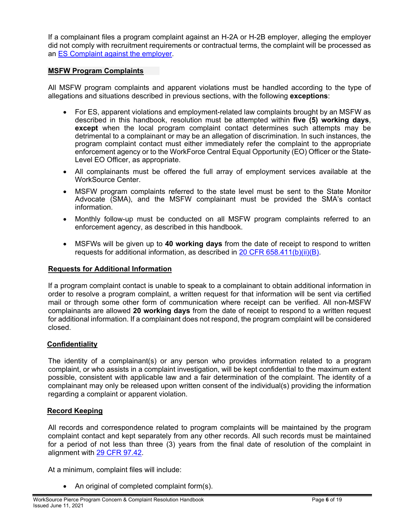If a complainant files a program complaint against an H-2A or H-2B employer, alleging the employer did not comply with recruitment requirements or contractual terms, the complaint will be processed as an [ES Complaint against the employer.](#page-6-5)

## <span id="page-7-0"></span>**MSFW Program Complaints**

All MSFW program complaints and apparent violations must be handled according to the type of allegations and situations described in previous sections, with the following **exceptions**:

- For ES, apparent violations and employment-related law complaints brought by an MSFW as described in this handbook, resolution must be attempted within **five (5) working days**, **except** when the local program complaint contact determines such attempts may be detrimental to a complainant or may be an allegation of discrimination. In such instances, the program complaint contact must either immediately refer the complaint to the appropriate enforcement agency or to the WorkForce Central Equal Opportunity (EO) Officer or the State-Level EO Officer, as appropriate.
- All complainants must be offered the full array of employment services available at the WorkSource Center.
- MSFW program complaints referred to the state level must be sent to the State Monitor Advocate (SMA), and the MSFW complainant must be provided the SMA's contact information.
- Monthly follow-up must be conducted on all MSFW program complaints referred to an enforcement agency, as described in this handbook.
- MSFWs will be given up to **40 working days** from the date of receipt to respond to written requests for additional information, as described in 20 [CFR 658.411\(b\)\(ii\)\(B\).](https://www.govinfo.gov/content/pkg/CFR-2018-title20-vol4/pdf/CFR-2018-title20-vol4-sec658-411.pdf)

#### <span id="page-7-1"></span>**Requests for Additional Information**

If a program complaint contact is unable to speak to a complainant to obtain additional information in order to resolve a program complaint, a written request for that information will be sent via certified mail or through some other form of communication where receipt can be verified. All non-MSFW complainants are allowed **20 working days** from the date of receipt to respond to a written request for additional information. If a complainant does not respond, the program complaint will be considered closed.

#### <span id="page-7-2"></span>**Confidentiality**

The identity of a complainant(s) or any person who provides information related to a program complaint, or who assists in a complaint investigation, will be kept confidential to the maximum extent possible, consistent with applicable law and a fair determination of the complaint. The identity of a complainant may only be released upon written consent of the individual(s) providing the information regarding a complaint or apparent violation.

#### <span id="page-7-3"></span>**Record Keeping**

All records and correspondence related to program complaints will be maintained by the program complaint contact and kept separately from any other records. All such records must be maintained for a period of not less than three (3) years from the final date of resolution of the complaint in alignment with [29 CFR 97.42.](https://www.govinfo.gov/content/pkg/CFR-2018-title29-vol1/pdf/CFR-2018-title29-vol1-sec97-42.pdf)

At a minimum, complaint files will include:

• An original of completed complaint form(s).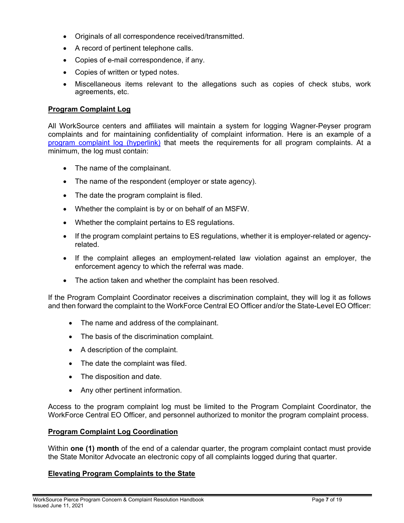- Originals of all correspondence received/transmitted.
- A record of pertinent telephone calls.
- Copies of e-mail correspondence, if any.
- Copies of written or typed notes.
- Miscellaneous items relevant to the allegations such as copies of check stubs, work agreements, etc.

## <span id="page-8-0"></span>**Program Complaint Log**

All WorkSource centers and affiliates will maintain a system for logging Wagner-Peyser program complaints and for maintaining confidentiality of complaint information. Here is an example of a [program complaint log](https://workforce-central.org/wp-content/uploads/2021/06/wfc-program-complaint-log.pdf) (hyperlink) that meets the requirements for all program complaints. At a minimum, the log must contain:

- The name of the complainant.
- The name of the respondent (employer or state agency).
- The date the program complaint is filed.
- Whether the complaint is by or on behalf of an MSFW.
- Whether the complaint pertains to ES regulations.
- If the program complaint pertains to ES regulations, whether it is employer-related or agencyrelated.
- If the complaint alleges an employment-related law violation against an employer, the enforcement agency to which the referral was made.
- The action taken and whether the complaint has been resolved.

If the Program Complaint Coordinator receives a discrimination complaint, they will log it as follows and then forward the complaint to the WorkForce Central EO Officer and/or the State-Level EO Officer:

- The name and address of the complainant.
- The basis of the discrimination complaint.
- A description of the complaint.
- The date the complaint was filed.
- The disposition and date.
- Any other pertinent information.

Access to the program complaint log must be limited to the Program Complaint Coordinator, the WorkForce Central EO Officer, and personnel authorized to monitor the program complaint process.

#### **Program Complaint Log Coordination**

Within **one (1) month** of the end of a calendar quarter, the program complaint contact must provide the State Monitor Advocate an electronic copy of all complaints logged during that quarter.

# <span id="page-8-1"></span>**Elevating Program Complaints to the State**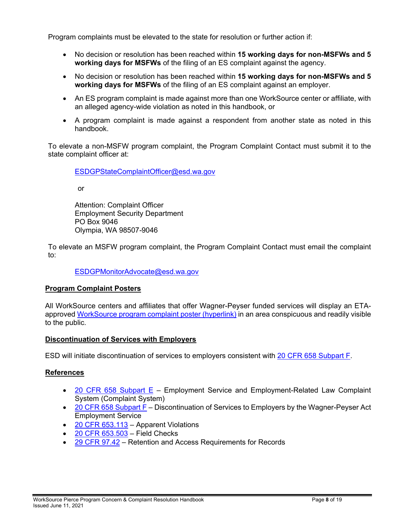Program complaints must be elevated to the state for resolution or further action if:

- No decision or resolution has been reached within **15 working days for non-MSFWs and 5 working days for MSFWs** of the filing of an ES complaint against the agency.
- No decision or resolution has been reached within **15 working days for non-MSFWs and 5 working days for MSFWs** of the filing of an ES complaint against an employer.
- An ES program complaint is made against more than one WorkSource center or affiliate, with an alleged agency-wide violation as noted in this handbook, or
- A program complaint is made against a respondent from another state as noted in this handbook.

To elevate a non-MSFW program complaint, the Program Complaint Contact must submit it to the state complaint officer at:

[ESDGPStateComplaintOfficer@esd.wa.gov](mailto:ESDGPStateComplaintOfficer@esd.wa.gov)

or

Attention: Complaint Officer Employment Security Department PO Box 9046 Olympia, WA 98507*-*9046

To elevate an MSFW program complaint, the Program Complaint Contact must email the complaint to:

# [ESDGPMonitorAdvocate@esd.wa.gov](mailto:ESDGPMonitorAdvocate@esd.wa.gov)

#### <span id="page-9-0"></span>**Program Complaint Posters**

All WorkSource centers and affiliates that offer Wagner-Peyser funded services will display an ETAapproved [WorkSource program complaint poster](https://storemultisites.blob.core.windows.net/media/WPC/adm/policy/WS-Complaints%20Poster.pdf) (hyperlink) in an area conspicuous and readily visible to the public.

# <span id="page-9-1"></span>**Discontinuation of Services with Employers**

ESD will initiate discontinuation of services to employers consistent with [20 CFR 658 Subpart F.](https://www.ecfr.gov/cgi-bin/text-idx?node=sp20.4.658.f&rgn=div6)

# <span id="page-9-2"></span>**References**

- [20 CFR 658 Subpart E](https://www.govinfo.gov/content/pkg/CFR-2017-title20-vol4/pdf/CFR-2017-title20-vol4-part658.pdf) Employment Service and Employment-Related Law Complaint System (Complaint System)
- [20 CFR 658 Subpart F](https://www.govinfo.gov/content/pkg/CFR-2017-title20-vol4/pdf/CFR-2017-title20-vol4-part658.pdf) Discontinuation of Services to Employers by the Wagner-Peyser Act Employment Service
- [20 CFR 653.113](http://www.versuslaw.com/cfr/20cfr/20cfr=00653@265489.asp) Apparent Violations
- [20 CFR 653.503](http://www.versuslaw.com/cfr/20cfr/20cfr=00653@265497.asp) Field Checks
- [29 CFR 97.42](https://www.govinfo.gov/content/pkg/CFR-2018-title29-vol1/pdf/CFR-2018-title29-vol1-sec97-42.pdf) Retention and Access Requirements for Records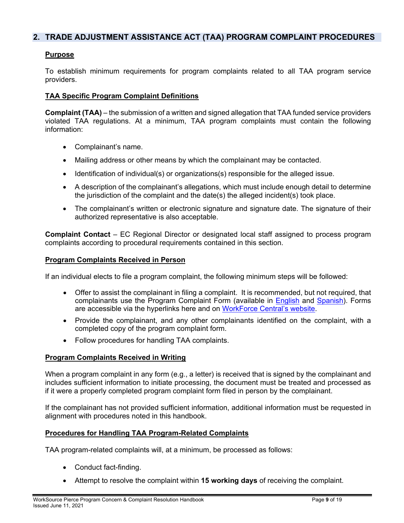# <span id="page-10-0"></span>**2. TRADE ADJUSTMENT ASSISTANCE ACT (TAA) PROGRAM COMPLAINT PROCEDURES**

# **Purpose**

To establish minimum requirements for program complaints related to all TAA program service providers.

#### <span id="page-10-1"></span>**TAA Specific Program Complaint Definitions**

**Complaint (TAA)** – the submission of a written and signed allegation that TAA funded service providers violated TAA regulations. At a minimum, TAA program complaints must contain the following information:

- Complainant's name.
- Mailing address or other means by which the complainant may be contacted.
- Identification of individual(s) or organizations(s) responsible for the alleged issue.
- A description of the complainant's allegations, which must include enough detail to determine the jurisdiction of the complaint and the date(s) the alleged incident(s) took place.
- The complainant's written or electronic signature and signature date. The signature of their authorized representative is also acceptable.

**Complaint Contact** – EC Regional Director or designated local staff assigned to process program complaints according to procedural requirements contained in this section.

#### <span id="page-10-2"></span>**Program Complaints Received in Person**

If an individual elects to file a program complaint, the following minimum steps will be followed:

- Offer to assist the complainant in filing a complaint. It is recommended, but not required, that complainants use the Program Complaint Form (available in [English](https://workforce-central.org/wp-content/uploads/2021/06/program-complaint-form-english.pdf) and [Spanish\)](https://workforce-central.org/wp-content/uploads/2021/06/program-complaint-form-spanish.pdf). Forms are accessible via the hyperlinks here and on [WorkForce Central's website.](https://workforce-central.org/about/policies/)
- Provide the complainant, and any other complainants identified on the complaint, with a completed copy of the program complaint form.
- Follow procedures for handling TAA complaints.

#### <span id="page-10-3"></span>**Program Complaints Received in Writing**

When a program complaint in any form (e.g., a letter) is received that is signed by the complainant and includes sufficient information to initiate processing, the document must be treated and processed as if it were a properly completed program complaint form filed in person by the complainant.

If the complainant has not provided sufficient information, additional information must be requested in alignment with procedures noted in this handbook.

#### <span id="page-10-4"></span>**Procedures for Handling TAA Program-Related Complaints**

TAA program-related complaints will, at a minimum, be processed as follows:

- Conduct fact-finding.
- Attempt to resolve the complaint within **15 working days** of receiving the complaint.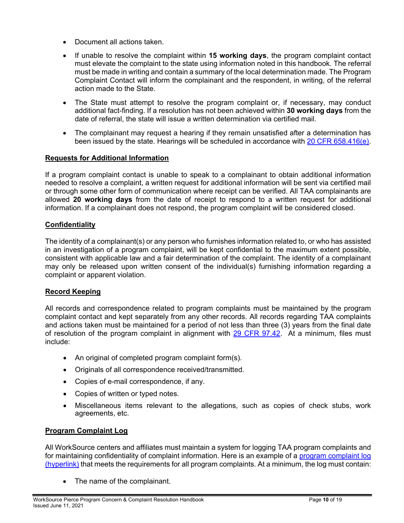- Document all actions taken.
- If unable to resolve the complaint within **15 working days**, the program complaint contact must elevate the complaint to the state using information noted in this handbook. The referral must be made in writing and contain a summary of the local determination made. The Program Complaint Contact will inform the complainant and the respondent, in writing, of the referral action made to the State.
- The State must attempt to resolve the program complaint or, if necessary, may conduct additional fact-finding. If a resolution has not been achieved within **30 working days** from the date of referral, the state will issue a written determination via certified mail.
- The complainant may request a hearing if they remain unsatisfied after a determination has been issued by the state. Hearings will be scheduled in accordance with [20 CFR 658.416\(e\).](https://www.gpo.gov/fdsys/pkg/CFR-2010-title20-vol3/pdf/CFR-2010-title20-vol3-sec658-416.pdf)

# <span id="page-11-0"></span>**Requests for Additional Information**

If a program complaint contact is unable to speak to a complainant to obtain additional information needed to resolve a complaint, a written request for additional information will be sent via certified mail or through some other form of communication where receipt can be verified. All TAA complainants are allowed **20 working days** from the date of receipt to respond to a written request for additional information. If a complainant does not respond, the program complaint will be considered closed.

# <span id="page-11-1"></span>**Confidentiality**

The identity of a complainant(s) or any person who furnishes information related to, or who has assisted in an investigation of a program complaint, will be kept confidential to the maximum extent possible, consistent with applicable law and a fair determination of the complaint. The identity of a complainant may only be released upon written consent of the individual(s) furnishing information regarding a complaint or apparent violation.

# <span id="page-11-2"></span>**Record Keeping**

All records and correspondence related to program complaints must be maintained by the program complaint contact and kept separately from any other records. All records regarding TAA complaints and actions taken must be maintained for a period of not less than three (3) years from the final date of resolution of the program complaint in alignment with [29 CFR 97.42.](https://www.govinfo.gov/content/pkg/CFR-2018-title29-vol1/pdf/CFR-2018-title29-vol1-sec97-42.pdf) At a minimum, files must include:

- An original of completed program complaint form(s).
- Originals of all correspondence received/transmitted.
- Copies of e-mail correspondence, if any.
- Copies of written or typed notes.
- Miscellaneous items relevant to the allegations, such as copies of check stubs, work agreements, etc.

# <span id="page-11-3"></span>**Program Complaint Log**

All WorkSource centers and affiliates must maintain a system for logging TAA program complaints and for maintaining confidentiality of complaint information. Here is an example of a [program complaint log](https://workforce-central.org/wp-content/uploads/2021/06/wfc-program-complaint-log.pdf) (hyperlink) that meets the requirements for all program complaints. At a minimum, the log must contain:

• The name of the complainant.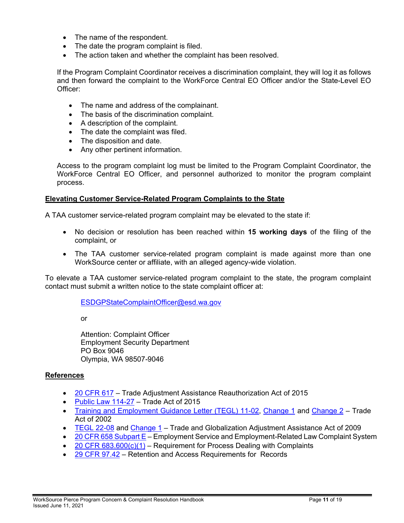- The name of the respondent.
- The date the program complaint is filed.
- The action taken and whether the complaint has been resolved.

If the Program Complaint Coordinator receives a discrimination complaint, they will log it as follows and then forward the complaint to the WorkForce Central EO Officer and/or the State-Level EO Officer:

- The name and address of the complainant.
- The basis of the discrimination complaint.
- A description of the complaint.
- The date the complaint was filed.
- The disposition and date.
- Any other pertinent information.

Access to the program complaint log must be limited to the Program Complaint Coordinator, the WorkForce Central EO Officer, and personnel authorized to monitor the program complaint process.

#### <span id="page-12-0"></span>**Elevating Customer Service-Related Program Complaints to the State**

A TAA customer service-related program complaint may be elevated to the state if:

- No decision or resolution has been reached within **15 working days** of the filing of the complaint, or
- The TAA customer service-related program complaint is made against more than one WorkSource center or affiliate, with an alleged agency-wide violation.

To elevate a TAA customer service-related program complaint to the state, the program complaint contact must submit a written notice to the state complaint officer at:

[ESDGPStateComplaintOfficer@esd.wa.gov](mailto:ESDGPStateComplaintOfficer@esd.wa.gov)

or

Attention: Complaint Officer Employment Security Department PO Box 9046 Olympia, WA 98507*-*9046

# <span id="page-12-1"></span>**References**

- [20 CFR 617](https://www.govinfo.gov/content/pkg/CFR-2012-title20-vol3/pdf/CFR-2012-title20-vol3-part617.pdf) Trade Adjustment Assistance Reauthorization Act of 2015
- [Public Law 114-27](https://www.govinfo.gov/app/details/PLAW-107publ210) Trade Act of 2015
- [Training and Employment Guidance Letter \(TEGL\) 11-02,](https://wdr.doleta.gov/directives/corr_doc.cfm?DOCN=1426) [Change 1](https://wdr.doleta.gov/directives/corr_doc.cfm?DOCN=1523) and [Change 2](https://wdr.doleta.gov/directives/corr_doc.cfm?DOCN=1593) Trade Act of 2002
- [TEGL](https://wdr.doleta.gov/directives/corr_doc.cfm?DOCN=2756) 22-08 and [Change 1](https://wdr.doleta.gov/directives/corr_doc.cfm?DOCN=2823) Trade and Globalization Adjustment Assistance Act of 2009
- [20 CFR 658 Subpart E](https://www.govinfo.gov/content/pkg/CFR-2017-title20-vol4/pdf/CFR-2017-title20-vol4-part658.pdf) Employment Service and Employment-Related Law Complaint System
- 20 CFR  $683.600(c)(1)$  Requirement for Process Dealing with Complaints
- [29 CFR 97.42](https://www.govinfo.gov/content/pkg/CFR-2018-title29-vol1/pdf/CFR-2018-title29-vol1-sec97-42.pdf) Retention and Access Requirements for Records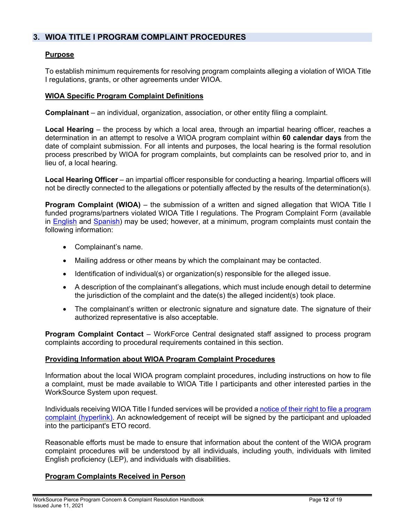# <span id="page-13-0"></span>**3. WIOA TITLE I PROGRAM COMPLAINT PROCEDURES**

# <span id="page-13-1"></span>**Purpose**

To establish minimum requirements for resolving program complaints alleging a violation of WIOA Title I regulations, grants, or other agreements under WIOA.

## <span id="page-13-2"></span>**WIOA Specific Program Complaint Definitions**

**Complainant** – an individual, organization, association, or other entity filing a complaint.

**Local Hearing** – the process by which a local area, through an impartial hearing officer, reaches a determination in an attempt to resolve a WIOA program complaint within **60 calendar days** from the date of complaint submission. For all intents and purposes, the local hearing is the formal resolution process prescribed by WIOA for program complaints, but complaints can be resolved prior to, and in lieu of, a local hearing.

**Local Hearing Officer** – an impartial officer responsible for conducting a hearing. Impartial officers will not be directly connected to the allegations or potentially affected by the results of the determination(s).

**Program Complaint (WIOA)** – the submission of a written and signed allegation that WIOA Title I funded programs/partners violated WIOA Title I regulations. The Program Complaint Form (available in [English](https://workforce-central.org/wp-content/uploads/2021/06/program-complaint-form-english.pdf) and [Spanish\)](https://workforce-central.org/wp-content/uploads/2021/06/program-complaint-form-spanish.pdf) may be used; however, at a minimum, program complaints must contain the following information:

- Complainant's name.
- Mailing address or other means by which the complainant may be contacted.
- Identification of individual(s) or organization(s) responsible for the alleged issue.
- A description of the complainant's allegations, which must include enough detail to determine the jurisdiction of the complaint and the date(s) the alleged incident(s) took place.
- The complainant's written or electronic signature and signature date. The signature of their authorized representative is also acceptable.

**Program Complaint Contact** – WorkForce Central designated staff assigned to process program complaints according to procedural requirements contained in this section.

#### <span id="page-13-3"></span>**Providing Information about WIOA Program Complaint Procedures**

Information about the local WIOA program complaint procedures, including instructions on how to file a complaint, must be made available to WIOA Title I participants and other interested parties in the WorkSource System upon request.

Individuals receiving WIOA Title I funded services will be provided a [notice of their right to file a program](https://workforce-central.org/wp-content/uploads/2021/06/wioa-summary-of-rights-and-program.pdf)  complaint [\(hyperlink\).](https://workforce-central.org/wp-content/uploads/2021/06/wioa-summary-of-rights-and-program.pdf) An acknowledgement of receipt will be signed by the participant and uploaded into the participant's ETO record.

Reasonable efforts must be made to ensure that information about the content of the WIOA program complaint procedures will be understood by all individuals, including youth, individuals with limited English proficiency (LEP), and individuals with disabilities.

# <span id="page-13-4"></span>**Program Complaints Received in Person**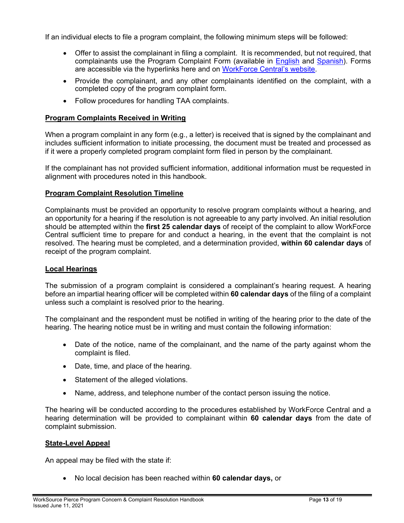If an individual elects to file a program complaint, the following minimum steps will be followed:

- Offer to assist the complainant in filing a complaint. It is recommended, but not required, that complainants use the Program Complaint Form (available in [English](https://workforce-central.org/wp-content/uploads/2021/06/program-complaint-form-english.pdf) and [Spanish\)](https://workforce-central.org/wp-content/uploads/2021/06/program-complaint-form-spanish.pdf). Forms are accessible via the hyperlinks here and on [WorkForce Central's website.](https://workforce-central.org/about/policies/)
- Provide the complainant, and any other complainants identified on the complaint, with a completed copy of the program complaint form.
- Follow procedures for handling TAA complaints.

# <span id="page-14-0"></span>**Program Complaints Received in Writing**

When a program complaint in any form (e.g., a letter) is received that is signed by the complainant and includes sufficient information to initiate processing, the document must be treated and processed as if it were a properly completed program complaint form filed in person by the complainant.

If the complainant has not provided sufficient information, additional information must be requested in alignment with procedures noted in this handbook.

# <span id="page-14-1"></span>**Program Complaint Resolution Timeline**

Complainants must be provided an opportunity to resolve program complaints without a hearing, and an opportunity for a hearing if the resolution is not agreeable to any party involved. An initial resolution should be attempted within the **first 25 calendar days** of receipt of the complaint to allow WorkForce Central sufficient time to prepare for and conduct a hearing, in the event that the complaint is not resolved. The hearing must be completed, and a determination provided, **within 60 calendar days** of receipt of the program complaint.

# <span id="page-14-2"></span>**Local Hearings**

The submission of a program complaint is considered a complainant's hearing request. A hearing before an impartial hearing officer will be completed within **60 calendar days** of the filing of a complaint unless such a complaint is resolved prior to the hearing.

The complainant and the respondent must be notified in writing of the hearing prior to the date of the hearing. The hearing notice must be in writing and must contain the following information:

- Date of the notice, name of the complainant, and the name of the party against whom the complaint is filed.
- Date, time, and place of the hearing.
- Statement of the alleged violations.
- Name, address, and telephone number of the contact person issuing the notice.

The hearing will be conducted according to the procedures established by WorkForce Central and a hearing determination will be provided to complainant within **60 calendar days** from the date of complaint submission.

# <span id="page-14-3"></span>**State-Level Appeal**

An appeal may be filed with the state if:

• No local decision has been reached within **60 calendar days,** or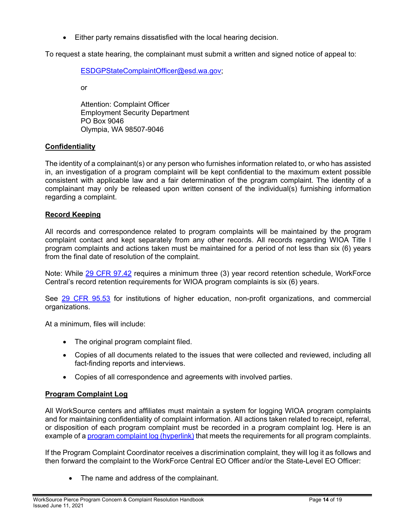• Either party remains dissatisfied with the local hearing decision.

To request a state hearing, the complainant must submit a written and signed notice of appeal to:

[ESDGPStateComplaintOfficer@esd.wa.gov;](mailto:ESDGPStateComplaintOfficer@esd.wa.gov)

or

Attention: Complaint Officer Employment Security Department PO Box 9046 Olympia, WA 98507*-*9046

# <span id="page-15-0"></span>**Confidentiality**

The identity of a complainant(s) or any person who furnishes information related to, or who has assisted in, an investigation of a program complaint will be kept confidential to the maximum extent possible consistent with applicable law and a fair determination of the program complaint. The identity of a complainant may only be released upon written consent of the individual(s) furnishing information regarding a complaint.

# <span id="page-15-1"></span>**Record Keeping**

All records and correspondence related to program complaints will be maintained by the program complaint contact and kept separately from any other records. All records regarding WIOA Title I program complaints and actions taken must be maintained for a period of not less than six (6) years from the final date of resolution of the complaint.

Note: While [29 CFR 97.42](https://www.govinfo.gov/content/pkg/CFR-2018-title29-vol1/pdf/CFR-2018-title29-vol1-sec97-42.pdf) requires a minimum three (3) year record retention schedule, WorkForce Central's record retention requirements for WIOA program complaints is six (6) years.

See [29 CFR 95.53](https://www.govinfo.gov/content/pkg/CFR-2018-title29-vol1/pdf/CFR-2018-title29-vol1-sec95-53.pdf) for institutions of higher education, non-profit organizations, and commercial organizations.

At a minimum, files will include:

- The original program complaint filed.
- Copies of all documents related to the issues that were collected and reviewed, including all fact-finding reports and interviews.
- Copies of all correspondence and agreements with involved parties.

# <span id="page-15-2"></span>**Program Complaint Log**

All WorkSource centers and affiliates must maintain a system for logging WIOA program complaints and for maintaining confidentiality of complaint information. All actions taken related to receipt, referral, or disposition of each program complaint must be recorded in a program complaint log. Here is an example of a [program complaint log \(hyperlink\)](https://workforce-central.org/wp-content/uploads/2021/06/wfc-program-complaint-log.pdf) that meets the requirements for all program complaints.

If the Program Complaint Coordinator receives a discrimination complaint, they will log it as follows and then forward the complaint to the WorkForce Central EO Officer and/or the State-Level EO Officer:

• The name and address of the complainant.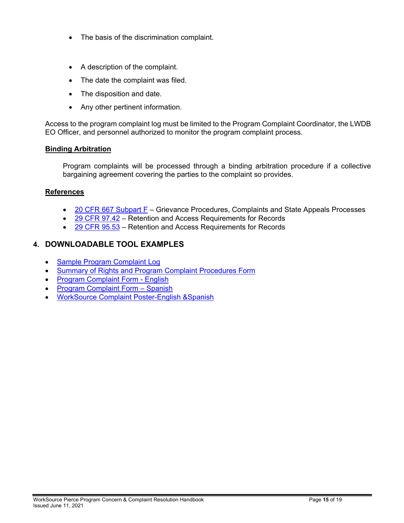- The basis of the discrimination complaint.
- A description of the complaint.
- The date the complaint was filed.
- The disposition and date.
- Any other pertinent information.

Access to the program complaint log must be limited to the Program Complaint Coordinator, the LWDB EO Officer, and personnel authorized to monitor the program complaint process.

# <span id="page-16-0"></span>**Binding Arbitration**

Program complaints will be processed through a binding arbitration procedure if a collective bargaining agreement covering the parties to the complaint so provides.

#### <span id="page-16-1"></span>**References**

- [20 CFR 667 Subpart F](https://www.govinfo.gov/content/pkg/CFR-2011-title20-vol3/pdf/CFR-2011-title20-vol3-part667.pdf) Grievance Procedures, Complaints and State Appeals Processes
- [29 CFR 97.42](https://www.govinfo.gov/content/pkg/CFR-2018-title29-vol1/pdf/CFR-2018-title29-vol1-sec97-42.pdf) Retention and Access Requirements for Records
- [29 CFR 95.53](https://www.govinfo.gov/content/pkg/CFR-2018-title29-vol1/pdf/CFR-2018-title29-vol1-sec95-53.pdf) Retention and Access Requirements for Records

# <span id="page-16-2"></span>**4. DOWNLOADABLE TOOL EXAMPLES**

- [Sample Program Complaint Log](https://workforce-central.org/wp-content/uploads/2021/06/wfc-program-complaint-log.pdf)
- Summary of [Rights and Program Complaint Procedures Form](https://workforce-central.org/wp-content/uploads/2021/06/wioa-summary-of-rights-and-program.pdf)
- [Program Complaint Form -](https://workforce-central.org/wp-content/uploads/2021/06/program-complaint-form-english.pdf) English
- [Program Complaint Form –](https://workforce-central.org/wp-content/uploads/2021/06/program-complaint-form-spanish.pdf) Spanish
- [WorkSource Complaint Poster-English &Spanish](https://storemultisites.blob.core.windows.net/media/WPC/adm/policy/WS-Complaints%20Poster.pdf)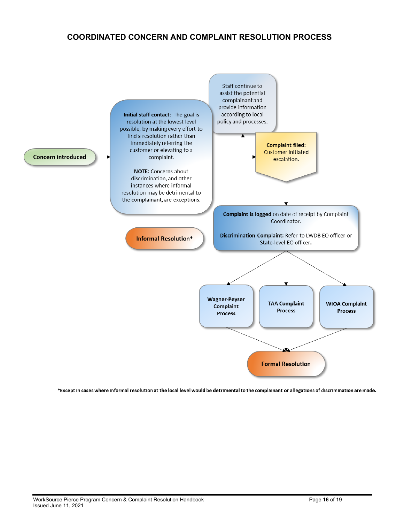# <span id="page-17-0"></span>**COORDINATED CONCERN AND COMPLAINT RESOLUTION PROCESS**



\*Except in cases where informal resolution at the local level would be detrimental to the complainant or allegations of discrimination are made.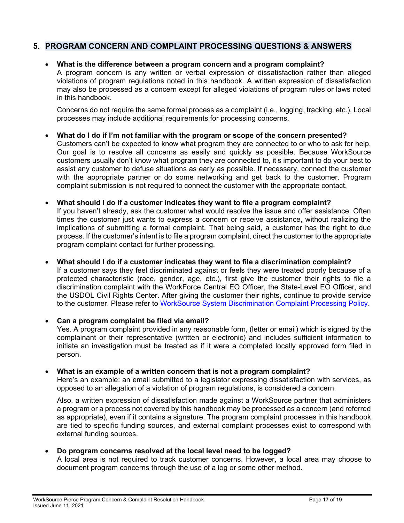# <span id="page-18-0"></span>**5. PROGRAM CONCERN AND COMPLAINT PROCESSING QUESTIONS & ANSWERS**

# • **What is the difference between a program concern and a program complaint?**

A program concern is any written or verbal expression of dissatisfaction rather than alleged violations of program regulations noted in this handbook. A written expression of dissatisfaction may also be processed as a concern except for alleged violations of program rules or laws noted in this handbook.

Concerns do not require the same formal process as a complaint (i.e., logging, tracking, etc.). Local processes may include additional requirements for processing concerns.

with the appropriate partner or do some networking and get back to the customer. Program

#### • **What do I do if I'm not familiar with the program or scope of the concern presented?** Customers can't be expected to know what program they are connected to or who to ask for help. Our goal is to resolve all concerns as easily and quickly as possible. Because WorkSource customers usually don't know what program they are connected to, it's important to do your best to assist any customer to defuse situations as early as possible. If necessary, connect the customer

complaint submission is not required to connect the customer with the appropriate contact.

• **What should I do if a customer indicates they want to file a program complaint?** If you haven't already, ask the customer what would resolve the issue and offer assistance. Often times the customer just wants to express a concern or receive assistance, without realizing the implications of submitting a formal complaint. That being said, a customer has the right to due process. If the customer's intent is to file a program complaint, direct the customer to the appropriate program complaint contact for further processing.

#### • **What should I do if a customer indicates they want to file a discrimination complaint?** If a customer says they feel discriminated against or feels they were treated poorly because of a protected characteristic (race, gender, age, etc.), first give the customer their rights to file a discrimination complaint with the WorkForce Central EO Officer, the State-Level EO Officer, and the USDOL Civil Rights Center. After giving the customer their rights, continue to provide service to the customer. Please refer to [WorkSource System Discrimination Complaint Processing Policy.](https://workforce-central.org/about/policies/)

# • **Can a program complaint be filed via email?**

Yes. A program complaint provided in any reasonable form, (letter or email) which is signed by the complainant or their representative (written or electronic) and includes sufficient information to initiate an investigation must be treated as if it were a completed locally approved form filed in person.

# • **What is an example of a written concern that is not a program complaint?**

Here's an example: an email submitted to a legislator expressing dissatisfaction with services, as opposed to an allegation of a violation of program regulations, is considered a concern.

Also, a written expression of dissatisfaction made against a WorkSource partner that administers a program or a process not covered by this handbook may be processed as a concern (and referred as appropriate), even if it contains a signature. The program complaint processes in this handbook are tied to specific funding sources, and external complaint processes exist to correspond with external funding sources.

# • **Do program concerns resolved at the local level need to be logged?**

A local area is not required to track customer concerns. However, a local area may choose to document program concerns through the use of a log or some other method.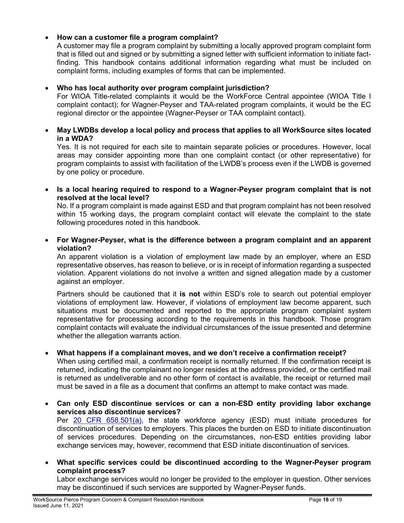# • **How can a customer file a program complaint?**

A customer may file a program complaint by submitting a locally approved program complaint form that is filled out and signed or by submitting a signed letter with sufficient information to initiate factfinding. This handbook contains additional information regarding what must be included on complaint forms, including examples of forms that can be implemented.

# • **Who has local authority over program complaint jurisdiction?**

For WIOA Title-related complaints it would be the WorkForce Central appointee (WIOA Title I complaint contact); for Wagner-Peyser and TAA-related program complaints, it would be the EC regional director or the appointee (Wagner-Peyser or TAA complaint contact).

# • **May LWDBs develop a local policy and process that applies to all WorkSource sites located in a WDA?**

Yes. It is not required for each site to maintain separate policies or procedures. However, local areas may consider appointing more than one complaint contact (or other representative) for program complaints to assist with facilitation of the LWDB's process even if the LWDB is governed by one policy or procedure.

• **Is a local hearing required to respond to a Wagner-Peyser program complaint that is not resolved at the local level?**

No. If a program complaint is made against ESD and that program complaint has not been resolved within 15 working days, the program complaint contact will elevate the complaint to the state following procedures noted in this handbook.

• **For Wagner-Peyser, what is the difference between a program complaint and an apparent violation?**

An apparent violation is a violation of employment law made by an employer, where an ESD representative observes, has reason to believe, or is in receipt of information regarding a suspected violation. Apparent violations do not involve a written and signed allegation made by a customer against an employer.

Partners should be cautioned that it **is not** within ESD's role to search out potential employer violations of employment law. However, if violations of employment law become apparent, such situations must be documented and reported to the appropriate program complaint system representative for processing according to the requirements in this handbook. Those program complaint contacts will evaluate the individual circumstances of the issue presented and determine whether the allegation warrants action.

# • **What happens if a complainant moves, and we don't receive a confirmation receipt?**

When using certified mail, a confirmation receipt is normally returned. If the confirmation receipt is returned, indicating the complainant no longer resides at the address provided, or the certified mail is returned as undeliverable and no other form of contact is available, the receipt or returned mail must be saved in a file as a document that confirms an attempt to make contact was made.

- **Can only ESD discontinue services or can a non-ESD entity providing labor exchange services also discontinue services?** Per [20 CFR 658.501\(a\),](https://www.govinfo.gov/content/pkg/CFR-2018-title20-vol4/pdf/CFR-2018-title20-vol4-sec658-501.pdf) the state workforce agency (ESD) must initiate procedures for discontinuation of services to employers. This places the burden on ESD to initiate discontinuation of services procedures. Depending on the circumstances, non-ESD entities providing labor exchange services may, however, recommend that ESD initiate discontinuation of services.
- **What specific services could be discontinued according to the Wagner-Peyser program complaint process?**

Labor exchange services would no longer be provided to the employer in question. Other services may be discontinued if such services are supported by Wagner-Peyser funds.